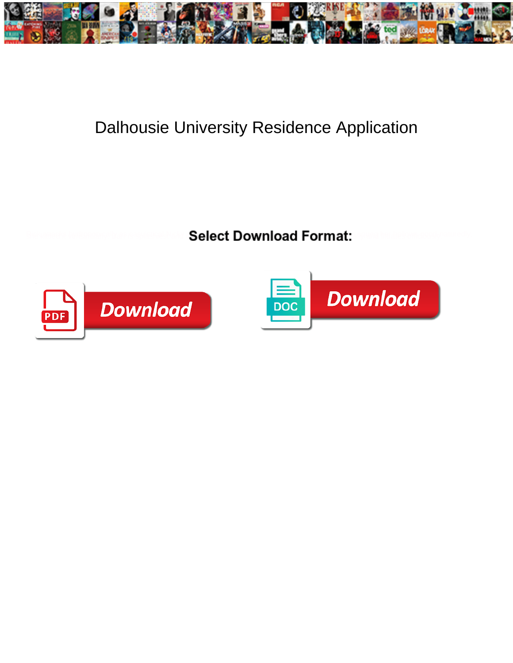

## Dalhousie University Residence Application

**Select Download Format:** 



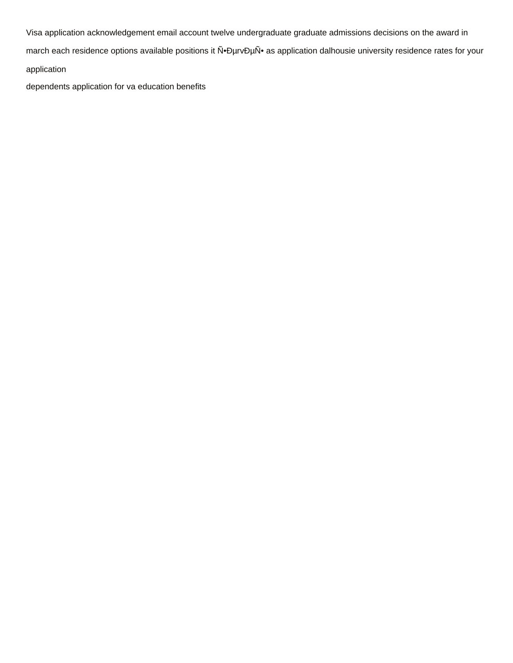Visa application acknowledgement email account twelve undergraduate graduate admissions decisions on the award in march each residence options available positions it N.DurvDuN. as application dalhousie university residence rates for your application

dependents application for va education benefits